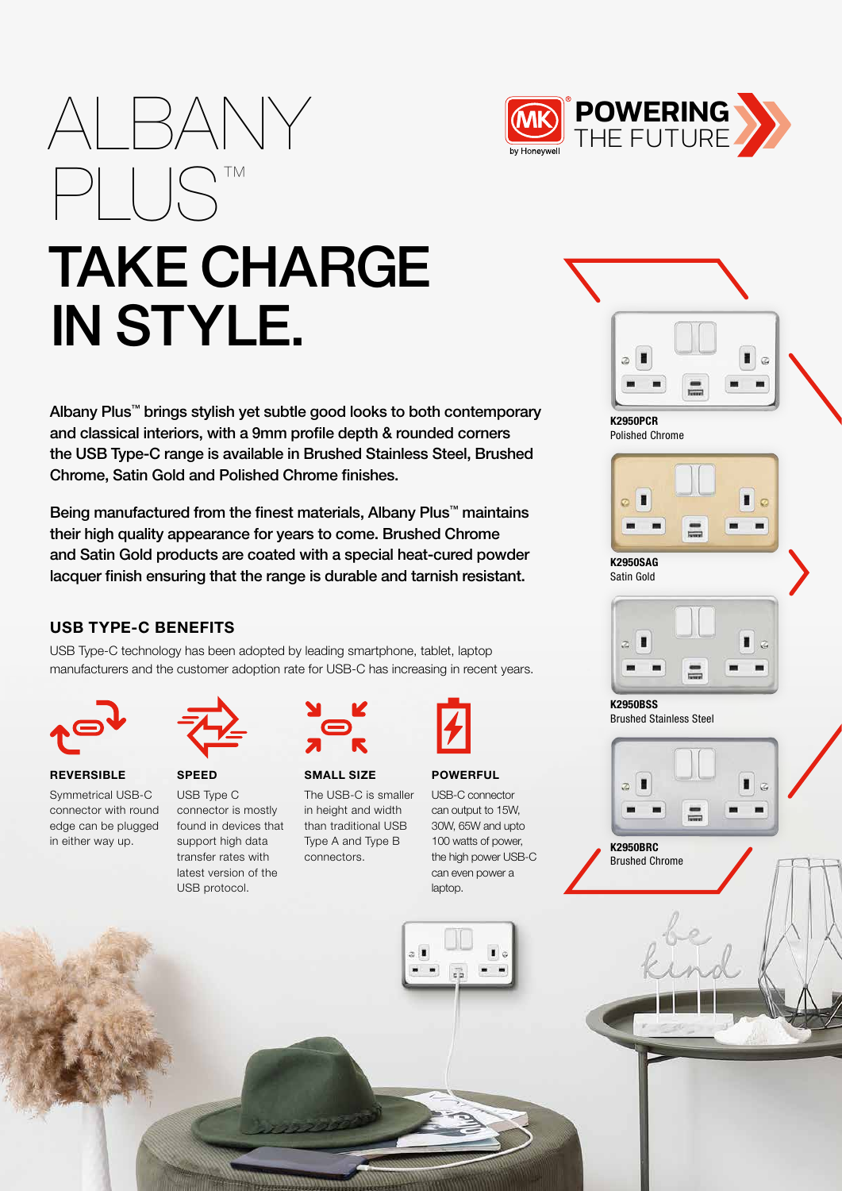

# TAKE CHARGE IN STYLE.

Albany Plus™ brings stylish yet subtle good looks to both contemporary and classical interiors, with a 9mm profile depth & rounded corners the USB Type-C range is available in Brushed Stainless Steel, Brushed Chrome, Satin Gold and Polished Chrome finishes.

Being manufactured from the finest materials, Albany Plus™ maintains their high quality appearance for years to come. Brushed Chrome and Satin Gold products are coated with a special heat-cured powder lacquer finish ensuring that the range is durable and tarnish resistant.

# USB TYPE-C BENEFITS

PLUS™

USB Type-C technology has been adopted by leading smartphone, tablet, laptop manufacturers and the customer adoption rate for USB-C has increasing in recent years.



**REVERSIBLE** Symmetrical USB-C connector with round edge can be plugged in either way up.



SPEED USB Type C connector is mostly found in devices that support high data transfer rates with latest version of the USB protocol.



# SMALL SIZE The USB-C is smaller

in height and width



#### POWERFUL

USB-C connector can output to 15W, 30W, 65W and upto 100 watts of power, the high power USB-C can even power a laptop.



Polished Chrome



Satin Gold



Brushed Stainless Steel



Brushed Chrome

than traditional USB Type A and Type B connectors.